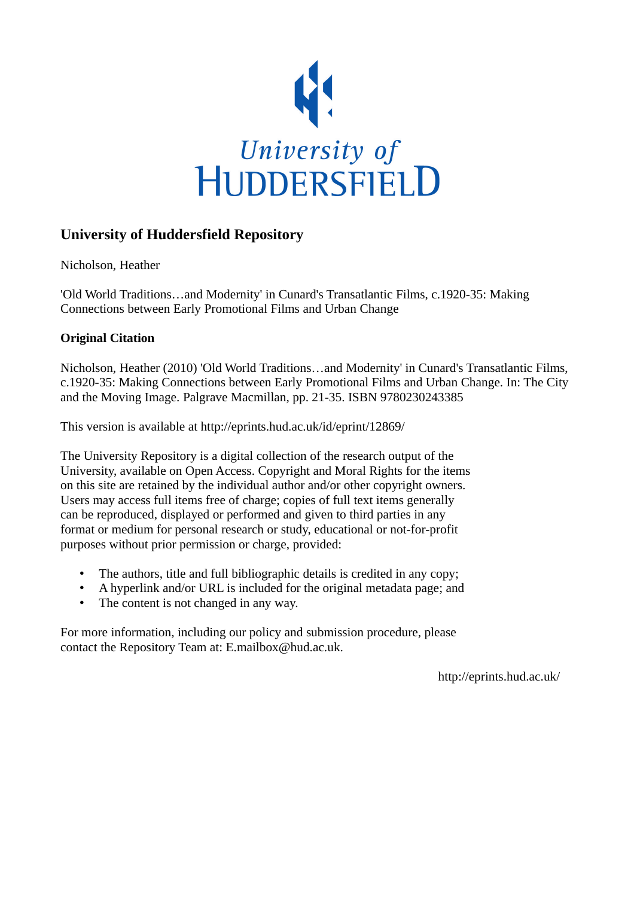

# **University of Huddersfield Repository**

Nicholson, Heather

'Old World Traditions…and Modernity' in Cunard's Transatlantic Films, c.1920-35: Making Connections between Early Promotional Films and Urban Change

# **Original Citation**

Nicholson, Heather (2010) 'Old World Traditions…and Modernity' in Cunard's Transatlantic Films, c.1920-35: Making Connections between Early Promotional Films and Urban Change. In: The City and the Moving Image. Palgrave Macmillan, pp. 21-35. ISBN 9780230243385

This version is available at http://eprints.hud.ac.uk/id/eprint/12869/

The University Repository is a digital collection of the research output of the University, available on Open Access. Copyright and Moral Rights for the items on this site are retained by the individual author and/or other copyright owners. Users may access full items free of charge; copies of full text items generally can be reproduced, displayed or performed and given to third parties in any format or medium for personal research or study, educational or not-for-profit purposes without prior permission or charge, provided:

- The authors, title and full bibliographic details is credited in any copy;
- A hyperlink and/or URL is included for the original metadata page; and
- The content is not changed in any way.

For more information, including our policy and submission procedure, please contact the Repository Team at: E.mailbox@hud.ac.uk.

http://eprints.hud.ac.uk/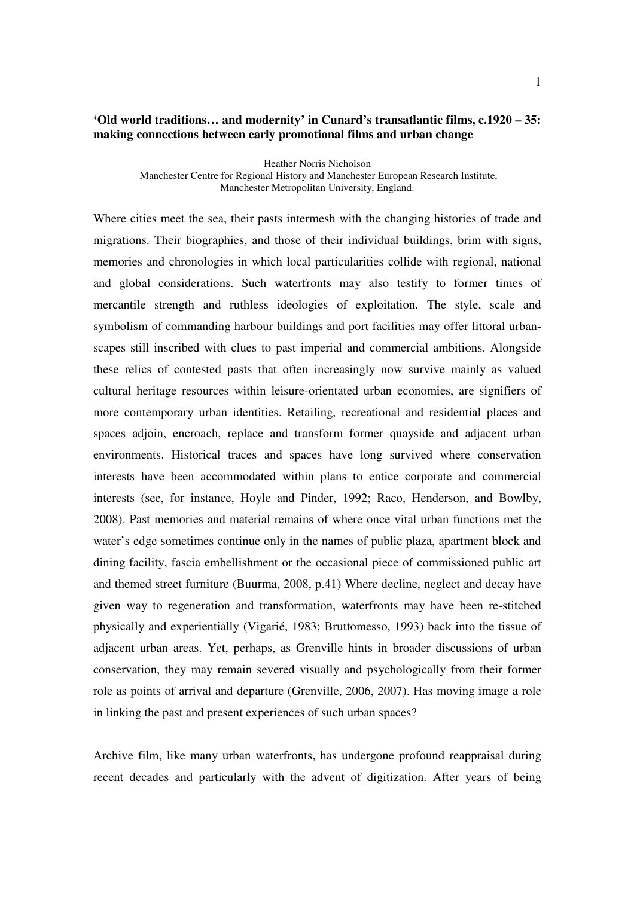### **'Old world traditions… and modernity' in Cunard's transatlantic films, c.1920 – 35: making connections between early promotional films and urban change**

Heather Norris Nicholson Manchester Centre for Regional History and Manchester European Research Institute, Manchester Metropolitan University, England.

Where cities meet the sea, their pasts intermesh with the changing histories of trade and migrations. Their biographies, and those of their individual buildings, brim with signs, memories and chronologies in which local particularities collide with regional, national and global considerations. Such waterfronts may also testify to former times of mercantile strength and ruthless ideologies of exploitation. The style, scale and symbolism of commanding harbour buildings and port facilities may offer littoral urbanscapes still inscribed with clues to past imperial and commercial ambitions. Alongside these relics of contested pasts that often increasingly now survive mainly as valued cultural heritage resources within leisure-orientated urban economies, are signifiers of more contemporary urban identities. Retailing, recreational and residential places and spaces adjoin, encroach, replace and transform former quayside and adjacent urban environments. Historical traces and spaces have long survived where conservation interests have been accommodated within plans to entice corporate and commercial interests (see, for instance, Hoyle and Pinder, 1992; Raco, Henderson, and Bowlby, 2008). Past memories and material remains of where once vital urban functions met the water's edge sometimes continue only in the names of public plaza, apartment block and dining facility, fascia embellishment or the occasional piece of commissioned public art and themed street furniture (Buurma, 2008, p.41) Where decline, neglect and decay have given way to regeneration and transformation, waterfronts may have been re-stitched physically and experientially (Vigarié, 1983; Bruttomesso, 1993) back into the tissue of adjacent urban areas. Yet, perhaps, as Grenville hints in broader discussions of urban conservation, they may remain severed visually and psychologically from their former role as points of arrival and departure (Grenville, 2006, 2007). Has moving image a role in linking the past and present experiences of such urban spaces?

Archive film, like many urban waterfronts, has undergone profound reappraisal during recent decades and particularly with the advent of digitization. After years of being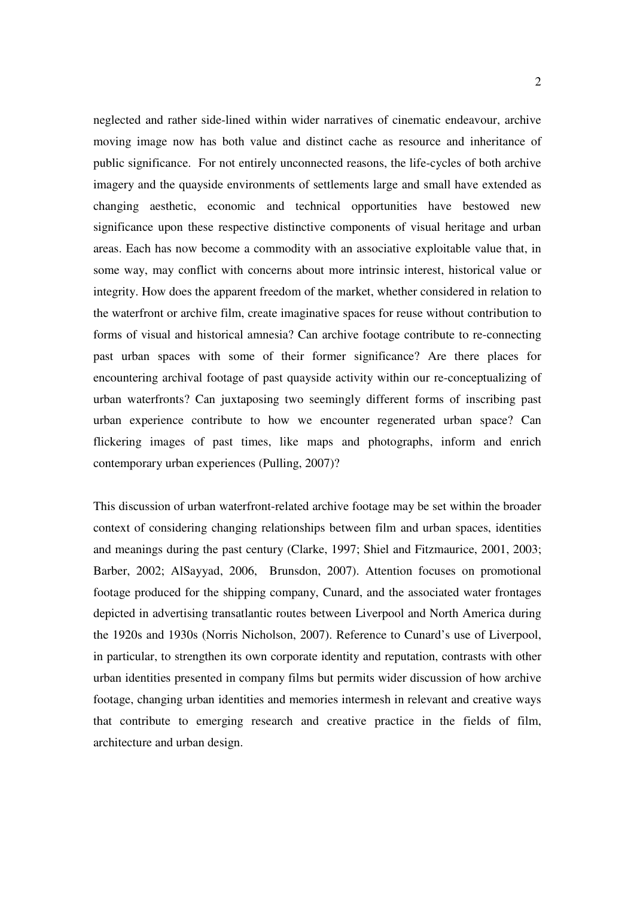neglected and rather side-lined within wider narratives of cinematic endeavour, archive moving image now has both value and distinct cache as resource and inheritance of public significance. For not entirely unconnected reasons, the life-cycles of both archive imagery and the quayside environments of settlements large and small have extended as changing aesthetic, economic and technical opportunities have bestowed new significance upon these respective distinctive components of visual heritage and urban areas. Each has now become a commodity with an associative exploitable value that, in some way, may conflict with concerns about more intrinsic interest, historical value or integrity. How does the apparent freedom of the market, whether considered in relation to the waterfront or archive film, create imaginative spaces for reuse without contribution to forms of visual and historical amnesia? Can archive footage contribute to re-connecting past urban spaces with some of their former significance? Are there places for encountering archival footage of past quayside activity within our re-conceptualizing of urban waterfronts? Can juxtaposing two seemingly different forms of inscribing past urban experience contribute to how we encounter regenerated urban space? Can flickering images of past times, like maps and photographs, inform and enrich contemporary urban experiences (Pulling, 2007)?

This discussion of urban waterfront-related archive footage may be set within the broader context of considering changing relationships between film and urban spaces, identities and meanings during the past century (Clarke, 1997; Shiel and Fitzmaurice, 2001, 2003; Barber, 2002; AlSayyad, 2006, Brunsdon, 2007). Attention focuses on promotional footage produced for the shipping company, Cunard, and the associated water frontages depicted in advertising transatlantic routes between Liverpool and North America during the 1920s and 1930s (Norris Nicholson, 2007). Reference to Cunard's use of Liverpool, in particular, to strengthen its own corporate identity and reputation, contrasts with other urban identities presented in company films but permits wider discussion of how archive footage, changing urban identities and memories intermesh in relevant and creative ways that contribute to emerging research and creative practice in the fields of film, architecture and urban design.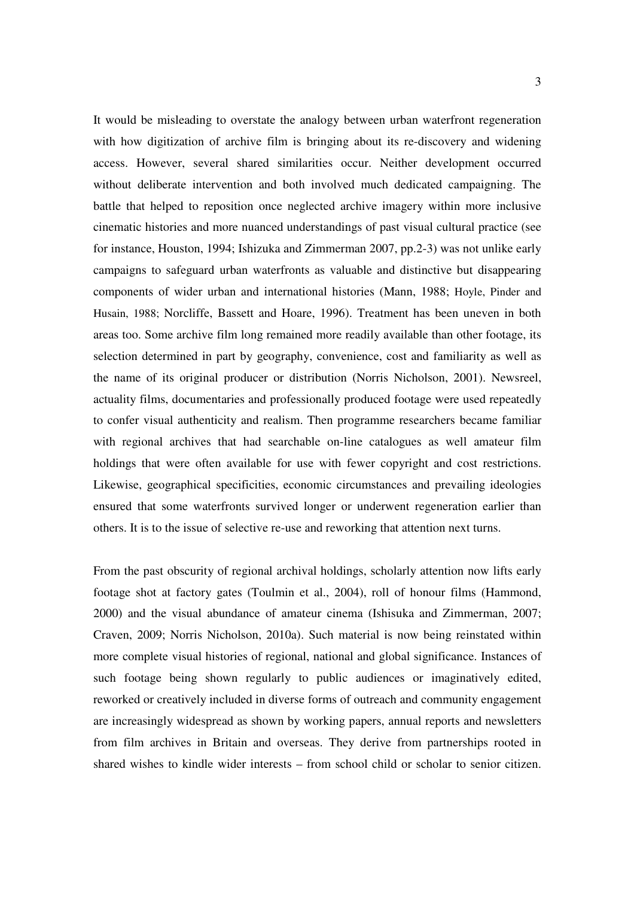It would be misleading to overstate the analogy between urban waterfront regeneration with how digitization of archive film is bringing about its re-discovery and widening access. However, several shared similarities occur. Neither development occurred without deliberate intervention and both involved much dedicated campaigning. The battle that helped to reposition once neglected archive imagery within more inclusive cinematic histories and more nuanced understandings of past visual cultural practice (see for instance, Houston, 1994; Ishizuka and Zimmerman 2007, pp.2-3) was not unlike early campaigns to safeguard urban waterfronts as valuable and distinctive but disappearing components of wider urban and international histories (Mann, 1988; Hoyle, Pinder and Husain, 1988; Norcliffe, Bassett and Hoare, 1996). Treatment has been uneven in both areas too. Some archive film long remained more readily available than other footage, its selection determined in part by geography, convenience, cost and familiarity as well as the name of its original producer or distribution (Norris Nicholson, 2001). Newsreel, actuality films, documentaries and professionally produced footage were used repeatedly to confer visual authenticity and realism. Then programme researchers became familiar with regional archives that had searchable on-line catalogues as well amateur film holdings that were often available for use with fewer copyright and cost restrictions. Likewise, geographical specificities, economic circumstances and prevailing ideologies ensured that some waterfronts survived longer or underwent regeneration earlier than others. It is to the issue of selective re-use and reworking that attention next turns.

From the past obscurity of regional archival holdings, scholarly attention now lifts early footage shot at factory gates (Toulmin et al., 2004), roll of honour films (Hammond, 2000) and the visual abundance of amateur cinema (Ishisuka and Zimmerman, 2007; Craven, 2009; Norris Nicholson, 2010a). Such material is now being reinstated within more complete visual histories of regional, national and global significance. Instances of such footage being shown regularly to public audiences or imaginatively edited, reworked or creatively included in diverse forms of outreach and community engagement are increasingly widespread as shown by working papers, annual reports and newsletters from film archives in Britain and overseas. They derive from partnerships rooted in shared wishes to kindle wider interests – from school child or scholar to senior citizen.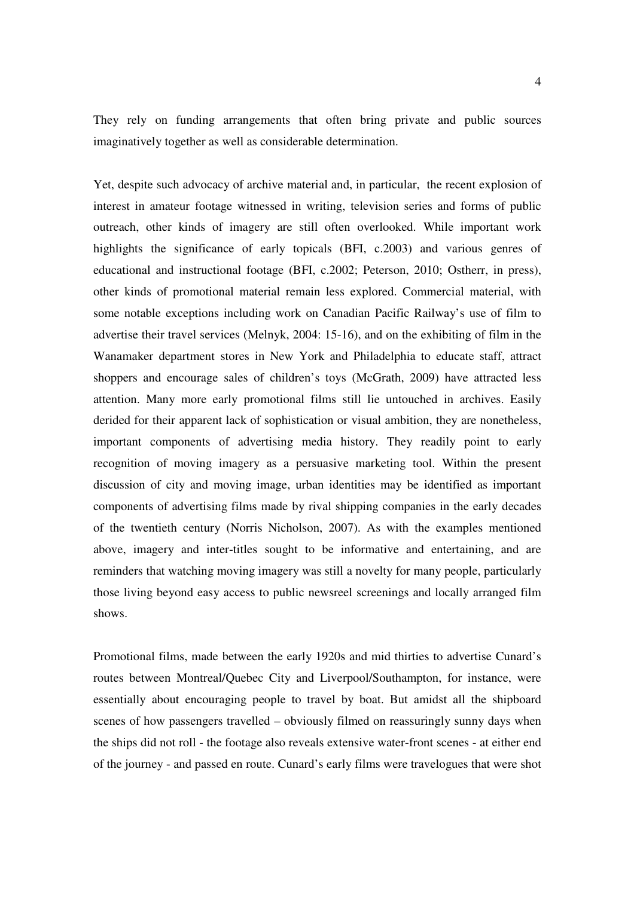They rely on funding arrangements that often bring private and public sources imaginatively together as well as considerable determination.

Yet, despite such advocacy of archive material and, in particular, the recent explosion of interest in amateur footage witnessed in writing, television series and forms of public outreach, other kinds of imagery are still often overlooked. While important work highlights the significance of early topicals (BFI, c.2003) and various genres of educational and instructional footage (BFI, c.2002; Peterson, 2010; Ostherr, in press), other kinds of promotional material remain less explored. Commercial material, with some notable exceptions including work on Canadian Pacific Railway's use of film to advertise their travel services (Melnyk, 2004: 15-16), and on the exhibiting of film in the Wanamaker department stores in New York and Philadelphia to educate staff, attract shoppers and encourage sales of children's toys (McGrath, 2009) have attracted less attention. Many more early promotional films still lie untouched in archives. Easily derided for their apparent lack of sophistication or visual ambition, they are nonetheless, important components of advertising media history. They readily point to early recognition of moving imagery as a persuasive marketing tool. Within the present discussion of city and moving image, urban identities may be identified as important components of advertising films made by rival shipping companies in the early decades of the twentieth century (Norris Nicholson, 2007). As with the examples mentioned above, imagery and inter-titles sought to be informative and entertaining, and are reminders that watching moving imagery was still a novelty for many people, particularly those living beyond easy access to public newsreel screenings and locally arranged film shows.

Promotional films, made between the early 1920s and mid thirties to advertise Cunard's routes between Montreal/Quebec City and Liverpool/Southampton, for instance, were essentially about encouraging people to travel by boat. But amidst all the shipboard scenes of how passengers travelled – obviously filmed on reassuringly sunny days when the ships did not roll - the footage also reveals extensive water-front scenes - at either end of the journey - and passed en route. Cunard's early films were travelogues that were shot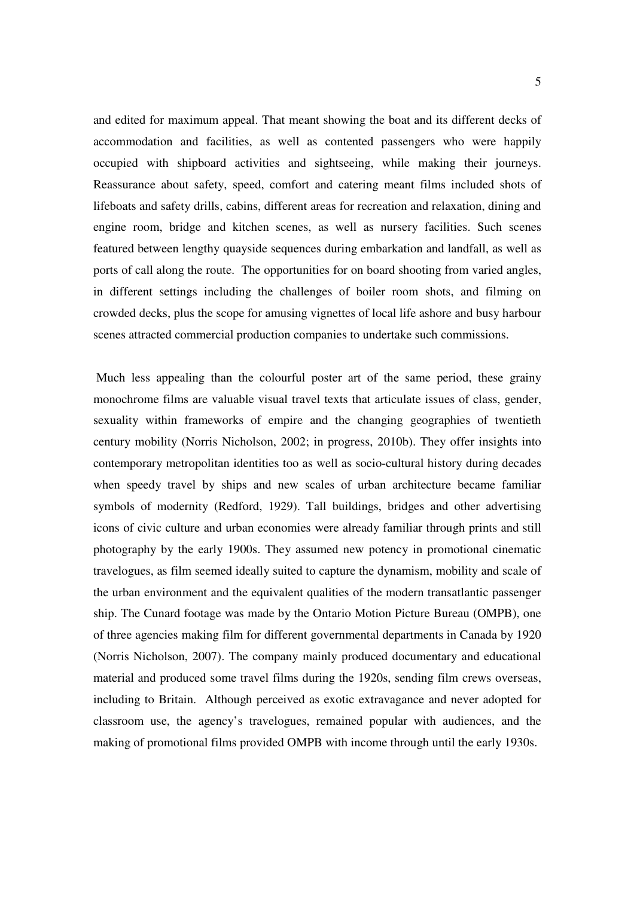and edited for maximum appeal. That meant showing the boat and its different decks of accommodation and facilities, as well as contented passengers who were happily occupied with shipboard activities and sightseeing, while making their journeys. Reassurance about safety, speed, comfort and catering meant films included shots of lifeboats and safety drills, cabins, different areas for recreation and relaxation, dining and engine room, bridge and kitchen scenes, as well as nursery facilities. Such scenes featured between lengthy quayside sequences during embarkation and landfall, as well as ports of call along the route. The opportunities for on board shooting from varied angles, in different settings including the challenges of boiler room shots, and filming on crowded decks, plus the scope for amusing vignettes of local life ashore and busy harbour scenes attracted commercial production companies to undertake such commissions.

 Much less appealing than the colourful poster art of the same period, these grainy monochrome films are valuable visual travel texts that articulate issues of class, gender, sexuality within frameworks of empire and the changing geographies of twentieth century mobility (Norris Nicholson, 2002; in progress, 2010b). They offer insights into contemporary metropolitan identities too as well as socio-cultural history during decades when speedy travel by ships and new scales of urban architecture became familiar symbols of modernity (Redford, 1929). Tall buildings, bridges and other advertising icons of civic culture and urban economies were already familiar through prints and still photography by the early 1900s. They assumed new potency in promotional cinematic travelogues, as film seemed ideally suited to capture the dynamism, mobility and scale of the urban environment and the equivalent qualities of the modern transatlantic passenger ship. The Cunard footage was made by the Ontario Motion Picture Bureau (OMPB), one of three agencies making film for different governmental departments in Canada by 1920 (Norris Nicholson, 2007). The company mainly produced documentary and educational material and produced some travel films during the 1920s, sending film crews overseas, including to Britain. Although perceived as exotic extravagance and never adopted for classroom use, the agency's travelogues, remained popular with audiences, and the making of promotional films provided OMPB with income through until the early 1930s.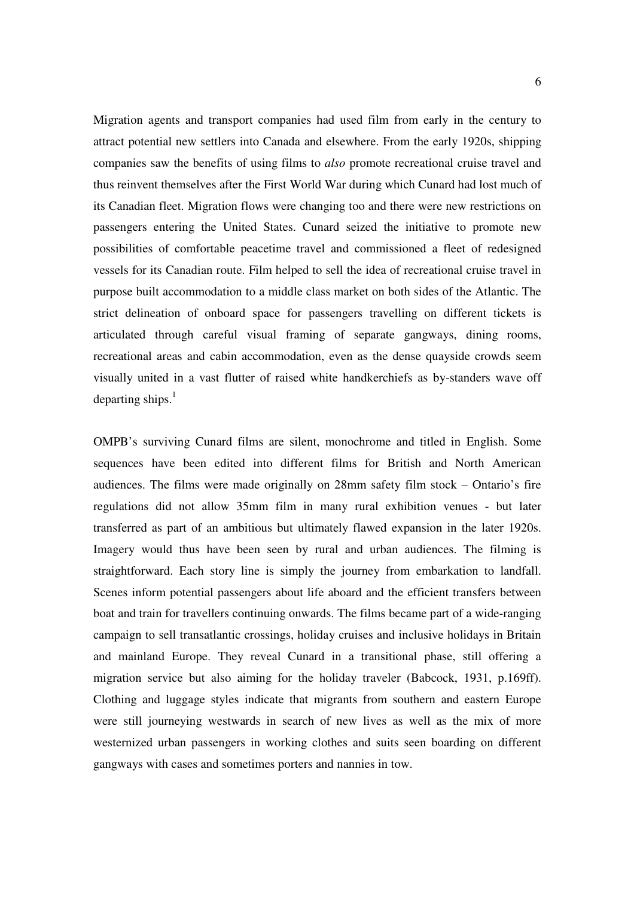Migration agents and transport companies had used film from early in the century to attract potential new settlers into Canada and elsewhere. From the early 1920s, shipping companies saw the benefits of using films to *also* promote recreational cruise travel and thus reinvent themselves after the First World War during which Cunard had lost much of its Canadian fleet. Migration flows were changing too and there were new restrictions on passengers entering the United States. Cunard seized the initiative to promote new possibilities of comfortable peacetime travel and commissioned a fleet of redesigned vessels for its Canadian route. Film helped to sell the idea of recreational cruise travel in purpose built accommodation to a middle class market on both sides of the Atlantic. The strict delineation of onboard space for passengers travelling on different tickets is articulated through careful visual framing of separate gangways, dining rooms, recreational areas and cabin accommodation, even as the dense quayside crowds seem visually united in a vast flutter of raised white handkerchiefs as by-standers wave off departing ships. $<sup>1</sup>$ </sup>

OMPB's surviving Cunard films are silent, monochrome and titled in English. Some sequences have been edited into different films for British and North American audiences. The films were made originally on 28mm safety film stock – Ontario's fire regulations did not allow 35mm film in many rural exhibition venues - but later transferred as part of an ambitious but ultimately flawed expansion in the later 1920s. Imagery would thus have been seen by rural and urban audiences. The filming is straightforward. Each story line is simply the journey from embarkation to landfall. Scenes inform potential passengers about life aboard and the efficient transfers between boat and train for travellers continuing onwards. The films became part of a wide-ranging campaign to sell transatlantic crossings, holiday cruises and inclusive holidays in Britain and mainland Europe. They reveal Cunard in a transitional phase, still offering a migration service but also aiming for the holiday traveler (Babcock, 1931, p.169ff). Clothing and luggage styles indicate that migrants from southern and eastern Europe were still journeying westwards in search of new lives as well as the mix of more westernized urban passengers in working clothes and suits seen boarding on different gangways with cases and sometimes porters and nannies in tow.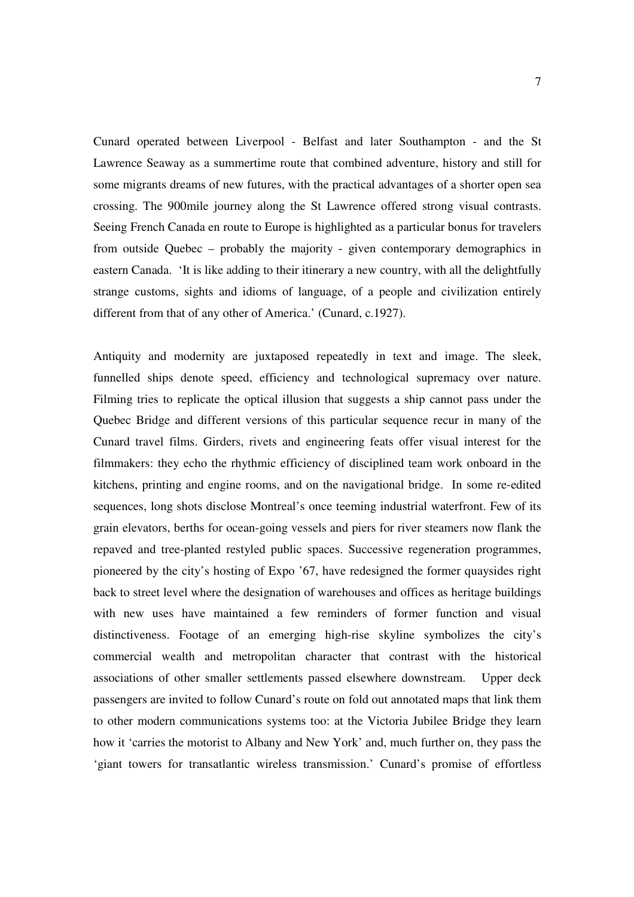Cunard operated between Liverpool - Belfast and later Southampton - and the St Lawrence Seaway as a summertime route that combined adventure, history and still for some migrants dreams of new futures, with the practical advantages of a shorter open sea crossing. The 900mile journey along the St Lawrence offered strong visual contrasts. Seeing French Canada en route to Europe is highlighted as a particular bonus for travelers from outside Quebec – probably the majority - given contemporary demographics in eastern Canada. 'It is like adding to their itinerary a new country, with all the delightfully strange customs, sights and idioms of language, of a people and civilization entirely different from that of any other of America.' (Cunard, c.1927).

Antiquity and modernity are juxtaposed repeatedly in text and image. The sleek, funnelled ships denote speed, efficiency and technological supremacy over nature. Filming tries to replicate the optical illusion that suggests a ship cannot pass under the Quebec Bridge and different versions of this particular sequence recur in many of the Cunard travel films. Girders, rivets and engineering feats offer visual interest for the filmmakers: they echo the rhythmic efficiency of disciplined team work onboard in the kitchens, printing and engine rooms, and on the navigational bridge. In some re-edited sequences, long shots disclose Montreal's once teeming industrial waterfront. Few of its grain elevators, berths for ocean-going vessels and piers for river steamers now flank the repaved and tree-planted restyled public spaces. Successive regeneration programmes, pioneered by the city's hosting of Expo '67, have redesigned the former quaysides right back to street level where the designation of warehouses and offices as heritage buildings with new uses have maintained a few reminders of former function and visual distinctiveness. Footage of an emerging high-rise skyline symbolizes the city's commercial wealth and metropolitan character that contrast with the historical associations of other smaller settlements passed elsewhere downstream. Upper deck passengers are invited to follow Cunard's route on fold out annotated maps that link them to other modern communications systems too: at the Victoria Jubilee Bridge they learn how it 'carries the motorist to Albany and New York' and, much further on, they pass the 'giant towers for transatlantic wireless transmission.' Cunard's promise of effortless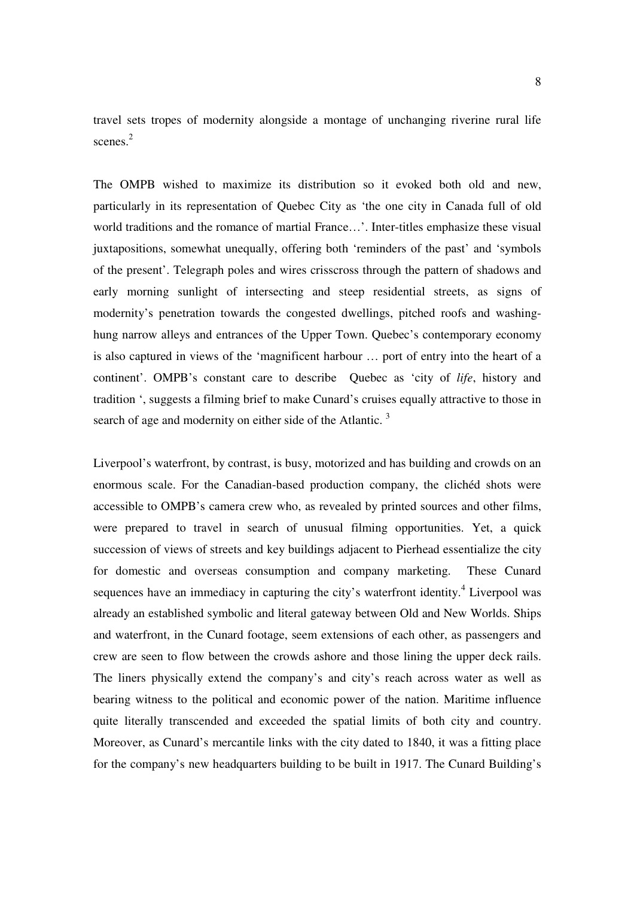travel sets tropes of modernity alongside a montage of unchanging riverine rural life scenes. 2

The OMPB wished to maximize its distribution so it evoked both old and new, particularly in its representation of Quebec City as 'the one city in Canada full of old world traditions and the romance of martial France…'. Inter-titles emphasize these visual juxtapositions, somewhat unequally, offering both 'reminders of the past' and 'symbols of the present'. Telegraph poles and wires crisscross through the pattern of shadows and early morning sunlight of intersecting and steep residential streets, as signs of modernity's penetration towards the congested dwellings, pitched roofs and washinghung narrow alleys and entrances of the Upper Town. Quebec's contemporary economy is also captured in views of the 'magnificent harbour … port of entry into the heart of a continent'. OMPB's constant care to describe Quebec as 'city of *life*, history and tradition ', suggests a filming brief to make Cunard's cruises equally attractive to those in search of age and modernity on either side of the Atlantic.<sup>3</sup>

Liverpool's waterfront, by contrast, is busy, motorized and has building and crowds on an enormous scale. For the Canadian-based production company, the clichéd shots were accessible to OMPB's camera crew who, as revealed by printed sources and other films, were prepared to travel in search of unusual filming opportunities. Yet, a quick succession of views of streets and key buildings adjacent to Pierhead essentialize the city for domestic and overseas consumption and company marketing. These Cunard sequences have an immediacy in capturing the city's waterfront identity.<sup>4</sup> Liverpool was already an established symbolic and literal gateway between Old and New Worlds. Ships and waterfront, in the Cunard footage, seem extensions of each other, as passengers and crew are seen to flow between the crowds ashore and those lining the upper deck rails. The liners physically extend the company's and city's reach across water as well as bearing witness to the political and economic power of the nation. Maritime influence quite literally transcended and exceeded the spatial limits of both city and country. Moreover, as Cunard's mercantile links with the city dated to 1840, it was a fitting place for the company's new headquarters building to be built in 1917. The Cunard Building's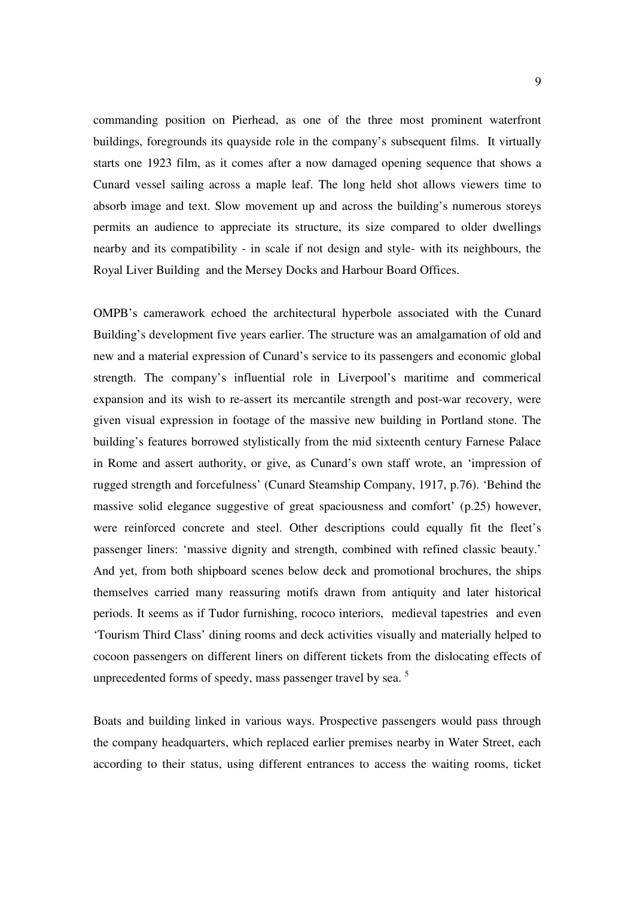commanding position on Pierhead, as one of the three most prominent waterfront buildings, foregrounds its quayside role in the company's subsequent films. It virtually starts one 1923 film, as it comes after a now damaged opening sequence that shows a Cunard vessel sailing across a maple leaf. The long held shot allows viewers time to absorb image and text. Slow movement up and across the building's numerous storeys permits an audience to appreciate its structure, its size compared to older dwellings nearby and its compatibility - in scale if not design and style- with its neighbours, the Royal Liver Building and the Mersey Docks and Harbour Board Offices.

OMPB's camerawork echoed the architectural hyperbole associated with the Cunard Building's development five years earlier. The structure was an amalgamation of old and new and a material expression of Cunard's service to its passengers and economic global strength. The company's influential role in Liverpool's maritime and commerical expansion and its wish to re-assert its mercantile strength and post-war recovery, were given visual expression in footage of the massive new building in Portland stone. The building's features borrowed stylistically from the mid sixteenth century Farnese Palace in Rome and assert authority, or give, as Cunard's own staff wrote, an 'impression of rugged strength and forcefulness' (Cunard Steamship Company, 1917, p.76). 'Behind the massive solid elegance suggestive of great spaciousness and comfort' (p.25) however, were reinforced concrete and steel. Other descriptions could equally fit the fleet's passenger liners: 'massive dignity and strength, combined with refined classic beauty.' And yet, from both shipboard scenes below deck and promotional brochures, the ships themselves carried many reassuring motifs drawn from antiquity and later historical periods. It seems as if Tudor furnishing, rococo interiors, medieval tapestries and even 'Tourism Third Class' dining rooms and deck activities visually and materially helped to cocoon passengers on different liners on different tickets from the dislocating effects of unprecedented forms of speedy, mass passenger travel by sea.<sup>5</sup>

Boats and building linked in various ways. Prospective passengers would pass through the company headquarters, which replaced earlier premises nearby in Water Street, each according to their status, using different entrances to access the waiting rooms, ticket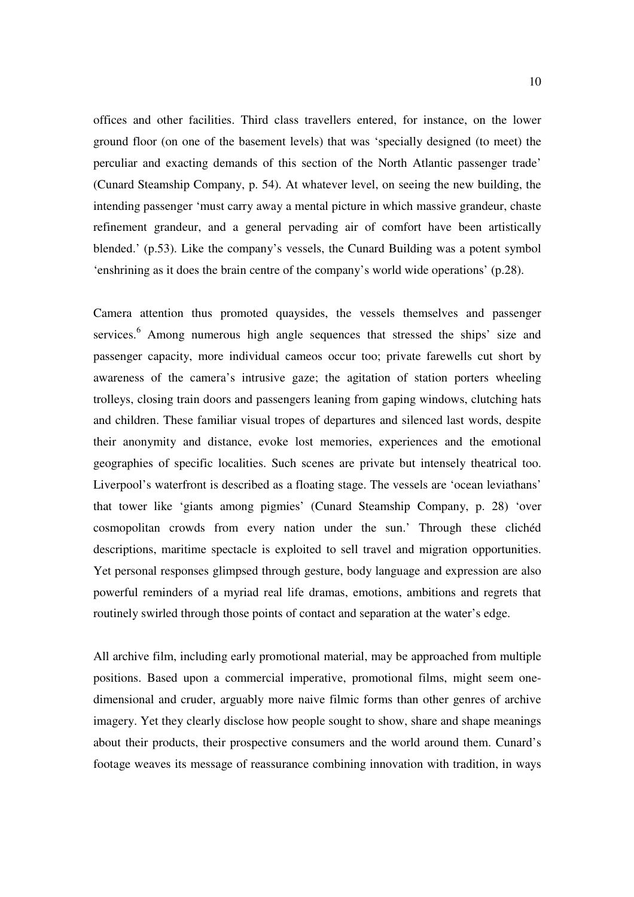offices and other facilities. Third class travellers entered, for instance, on the lower ground floor (on one of the basement levels) that was 'specially designed (to meet) the perculiar and exacting demands of this section of the North Atlantic passenger trade' (Cunard Steamship Company, p. 54). At whatever level, on seeing the new building, the intending passenger 'must carry away a mental picture in which massive grandeur, chaste refinement grandeur, and a general pervading air of comfort have been artistically blended.' (p.53). Like the company's vessels, the Cunard Building was a potent symbol 'enshrining as it does the brain centre of the company's world wide operations' (p.28).

Camera attention thus promoted quaysides, the vessels themselves and passenger services.<sup>6</sup> Among numerous high angle sequences that stressed the ships' size and passenger capacity, more individual cameos occur too; private farewells cut short by awareness of the camera's intrusive gaze; the agitation of station porters wheeling trolleys, closing train doors and passengers leaning from gaping windows, clutching hats and children. These familiar visual tropes of departures and silenced last words, despite their anonymity and distance, evoke lost memories, experiences and the emotional geographies of specific localities. Such scenes are private but intensely theatrical too. Liverpool's waterfront is described as a floating stage. The vessels are 'ocean leviathans' that tower like 'giants among pigmies' (Cunard Steamship Company, p. 28) 'over cosmopolitan crowds from every nation under the sun.' Through these clichéd descriptions, maritime spectacle is exploited to sell travel and migration opportunities. Yet personal responses glimpsed through gesture, body language and expression are also powerful reminders of a myriad real life dramas, emotions, ambitions and regrets that routinely swirled through those points of contact and separation at the water's edge.

All archive film, including early promotional material, may be approached from multiple positions. Based upon a commercial imperative, promotional films, might seem onedimensional and cruder, arguably more naive filmic forms than other genres of archive imagery. Yet they clearly disclose how people sought to show, share and shape meanings about their products, their prospective consumers and the world around them. Cunard's footage weaves its message of reassurance combining innovation with tradition, in ways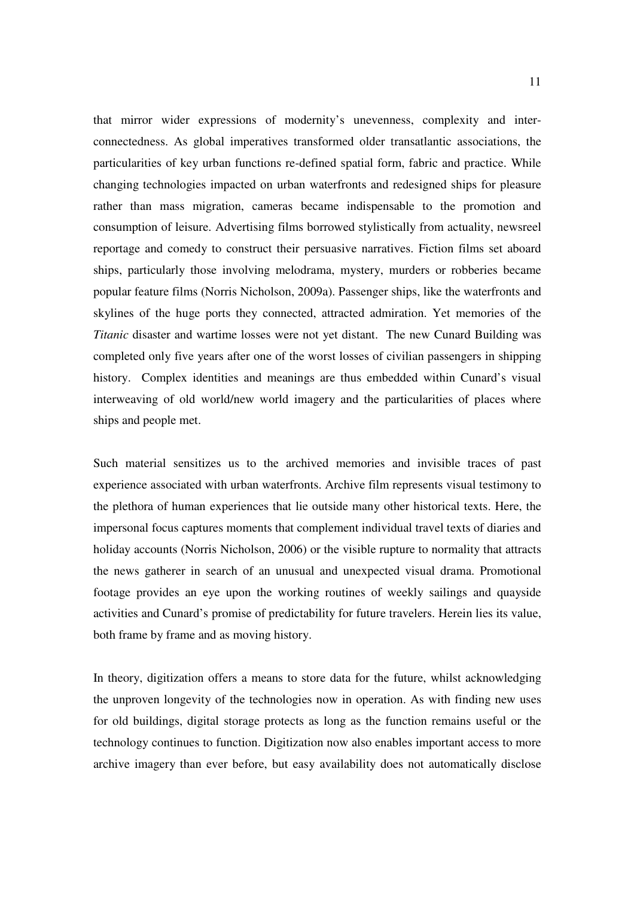that mirror wider expressions of modernity's unevenness, complexity and interconnectedness. As global imperatives transformed older transatlantic associations, the particularities of key urban functions re-defined spatial form, fabric and practice. While changing technologies impacted on urban waterfronts and redesigned ships for pleasure rather than mass migration, cameras became indispensable to the promotion and consumption of leisure. Advertising films borrowed stylistically from actuality, newsreel reportage and comedy to construct their persuasive narratives. Fiction films set aboard ships, particularly those involving melodrama, mystery, murders or robberies became popular feature films (Norris Nicholson, 2009a). Passenger ships, like the waterfronts and skylines of the huge ports they connected, attracted admiration. Yet memories of the *Titanic* disaster and wartime losses were not yet distant. The new Cunard Building was completed only five years after one of the worst losses of civilian passengers in shipping history. Complex identities and meanings are thus embedded within Cunard's visual interweaving of old world/new world imagery and the particularities of places where ships and people met.

Such material sensitizes us to the archived memories and invisible traces of past experience associated with urban waterfronts. Archive film represents visual testimony to the plethora of human experiences that lie outside many other historical texts. Here, the impersonal focus captures moments that complement individual travel texts of diaries and holiday accounts (Norris Nicholson, 2006) or the visible rupture to normality that attracts the news gatherer in search of an unusual and unexpected visual drama. Promotional footage provides an eye upon the working routines of weekly sailings and quayside activities and Cunard's promise of predictability for future travelers. Herein lies its value, both frame by frame and as moving history.

In theory, digitization offers a means to store data for the future, whilst acknowledging the unproven longevity of the technologies now in operation. As with finding new uses for old buildings, digital storage protects as long as the function remains useful or the technology continues to function. Digitization now also enables important access to more archive imagery than ever before, but easy availability does not automatically disclose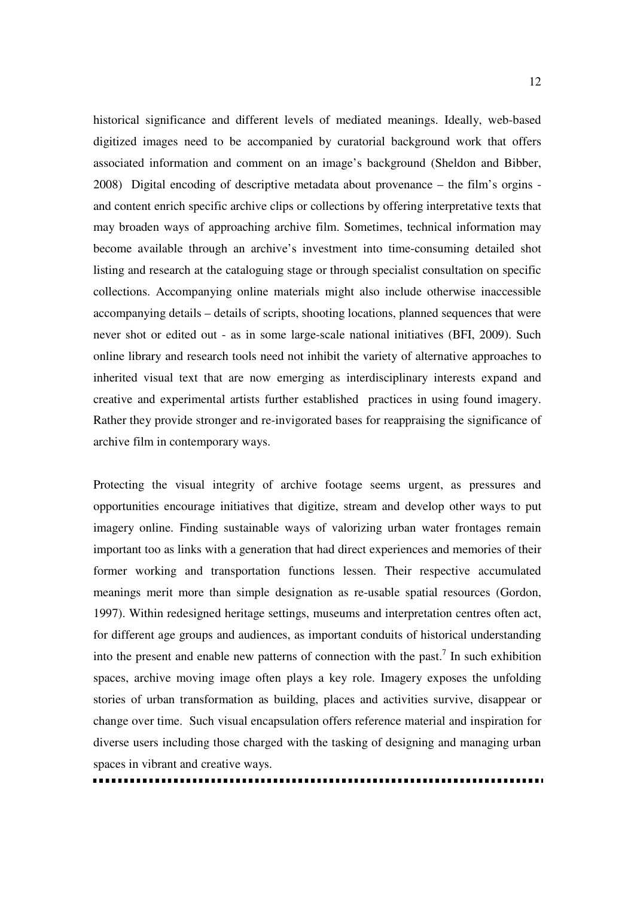historical significance and different levels of mediated meanings. Ideally, web-based digitized images need to be accompanied by curatorial background work that offers associated information and comment on an image's background (Sheldon and Bibber, 2008) Digital encoding of descriptive metadata about provenance – the film's orgins and content enrich specific archive clips or collections by offering interpretative texts that may broaden ways of approaching archive film. Sometimes, technical information may become available through an archive's investment into time-consuming detailed shot listing and research at the cataloguing stage or through specialist consultation on specific collections. Accompanying online materials might also include otherwise inaccessible accompanying details – details of scripts, shooting locations, planned sequences that were never shot or edited out - as in some large-scale national initiatives (BFI, 2009). Such online library and research tools need not inhibit the variety of alternative approaches to inherited visual text that are now emerging as interdisciplinary interests expand and creative and experimental artists further established practices in using found imagery. Rather they provide stronger and re-invigorated bases for reappraising the significance of archive film in contemporary ways.

Protecting the visual integrity of archive footage seems urgent, as pressures and opportunities encourage initiatives that digitize, stream and develop other ways to put imagery online. Finding sustainable ways of valorizing urban water frontages remain important too as links with a generation that had direct experiences and memories of their former working and transportation functions lessen. Their respective accumulated meanings merit more than simple designation as re-usable spatial resources (Gordon, 1997). Within redesigned heritage settings, museums and interpretation centres often act, for different age groups and audiences, as important conduits of historical understanding into the present and enable new patterns of connection with the past.<sup>7</sup> In such exhibition spaces, archive moving image often plays a key role. Imagery exposes the unfolding stories of urban transformation as building, places and activities survive, disappear or change over time. Such visual encapsulation offers reference material and inspiration for diverse users including those charged with the tasking of designing and managing urban spaces in vibrant and creative ways.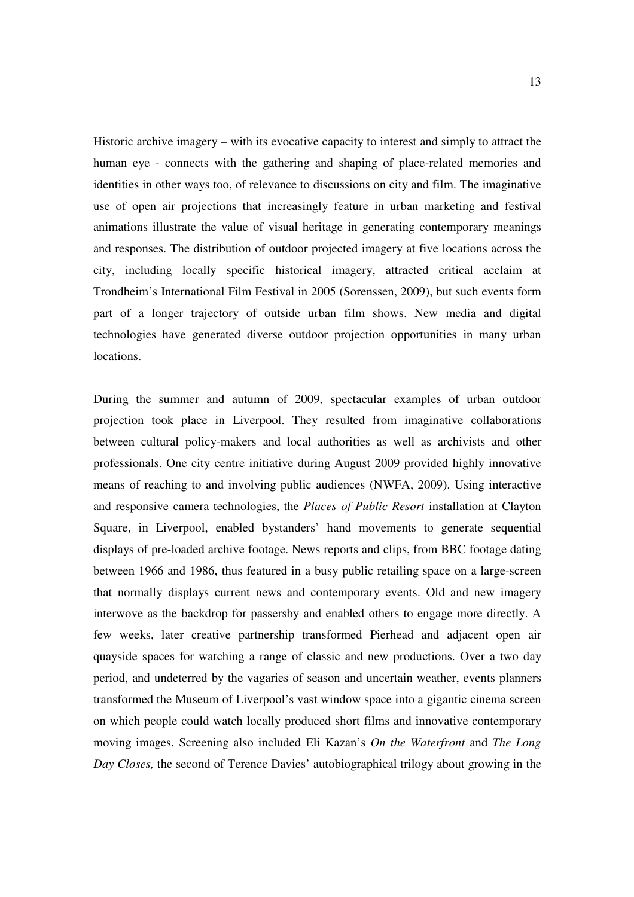Historic archive imagery – with its evocative capacity to interest and simply to attract the human eye - connects with the gathering and shaping of place-related memories and identities in other ways too, of relevance to discussions on city and film. The imaginative use of open air projections that increasingly feature in urban marketing and festival animations illustrate the value of visual heritage in generating contemporary meanings and responses. The distribution of outdoor projected imagery at five locations across the city, including locally specific historical imagery, attracted critical acclaim at Trondheim's International Film Festival in 2005 (Sorenssen, 2009), but such events form part of a longer trajectory of outside urban film shows. New media and digital technologies have generated diverse outdoor projection opportunities in many urban locations.

During the summer and autumn of 2009, spectacular examples of urban outdoor projection took place in Liverpool. They resulted from imaginative collaborations between cultural policy-makers and local authorities as well as archivists and other professionals. One city centre initiative during August 2009 provided highly innovative means of reaching to and involving public audiences (NWFA, 2009). Using interactive and responsive camera technologies, the *Places of Public Resort* installation at Clayton Square, in Liverpool, enabled bystanders' hand movements to generate sequential displays of pre-loaded archive footage. News reports and clips, from BBC footage dating between 1966 and 1986, thus featured in a busy public retailing space on a large-screen that normally displays current news and contemporary events. Old and new imagery interwove as the backdrop for passersby and enabled others to engage more directly. A few weeks, later creative partnership transformed Pierhead and adjacent open air quayside spaces for watching a range of classic and new productions. Over a two day period, and undeterred by the vagaries of season and uncertain weather, events planners transformed the Museum of Liverpool's vast window space into a gigantic cinema screen on which people could watch locally produced short films and innovative contemporary moving images. Screening also included Eli Kazan's *On the Waterfront* and *The Long Day Closes,* the second of Terence Davies' autobiographical trilogy about growing in the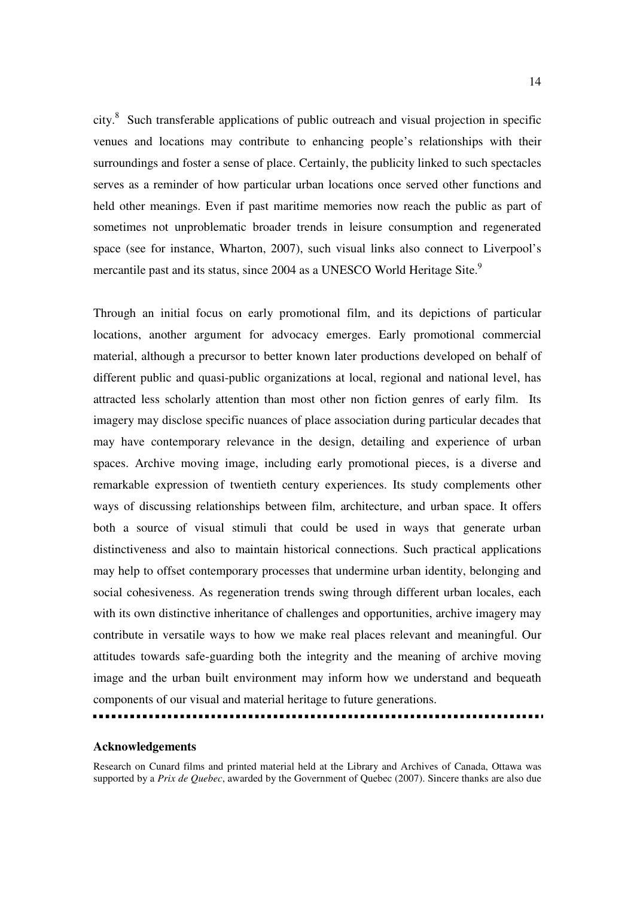city.<sup>8</sup> Such transferable applications of public outreach and visual projection in specific venues and locations may contribute to enhancing people's relationships with their surroundings and foster a sense of place. Certainly, the publicity linked to such spectacles serves as a reminder of how particular urban locations once served other functions and held other meanings. Even if past maritime memories now reach the public as part of sometimes not unproblematic broader trends in leisure consumption and regenerated space (see for instance, Wharton, 2007), such visual links also connect to Liverpool's mercantile past and its status, since 2004 as a UNESCO World Heritage Site.<sup>9</sup>

Through an initial focus on early promotional film, and its depictions of particular locations, another argument for advocacy emerges. Early promotional commercial material, although a precursor to better known later productions developed on behalf of different public and quasi-public organizations at local, regional and national level, has attracted less scholarly attention than most other non fiction genres of early film. Its imagery may disclose specific nuances of place association during particular decades that may have contemporary relevance in the design, detailing and experience of urban spaces. Archive moving image, including early promotional pieces, is a diverse and remarkable expression of twentieth century experiences. Its study complements other ways of discussing relationships between film, architecture, and urban space. It offers both a source of visual stimuli that could be used in ways that generate urban distinctiveness and also to maintain historical connections. Such practical applications may help to offset contemporary processes that undermine urban identity, belonging and social cohesiveness. As regeneration trends swing through different urban locales, each with its own distinctive inheritance of challenges and opportunities, archive imagery may contribute in versatile ways to how we make real places relevant and meaningful. Our attitudes towards safe-guarding both the integrity and the meaning of archive moving image and the urban built environment may inform how we understand and bequeath components of our visual and material heritage to future generations.

#### **Acknowledgements**

Research on Cunard films and printed material held at the Library and Archives of Canada, Ottawa was supported by a *Prix de Quebec*, awarded by the Government of Quebec (2007). Sincere thanks are also due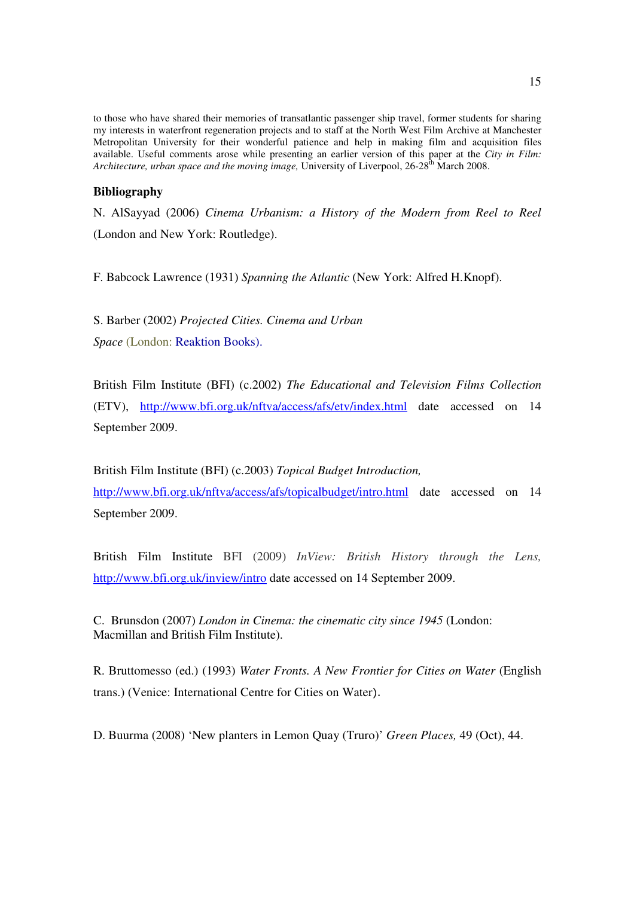to those who have shared their memories of transatlantic passenger ship travel, former students for sharing my interests in waterfront regeneration projects and to staff at the North West Film Archive at Manchester Metropolitan University for their wonderful patience and help in making film and acquisition files available. Useful comments arose while presenting an earlier version of this paper at the *City in Film: Architecture, urban space and the moving image, University of Liverpool, 26-28<sup>th</sup> March 2008.* 

# **Bibliography**

N. AlSayyad (2006) *Cinema Urbanism: a History of the Modern from Reel to Reel* (London and New York: Routledge).

F. Babcock Lawrence (1931) *Spanning the Atlantic* (New York: Alfred H.Knopf).

S. Barber (2002) *Projected Cities. Cinema and Urban Space* (London: Reaktion Books).

British Film Institute (BFI) (c.2002) *The Educational and Television Films Collection* (ETV), http://www.bfi.org.uk/nftva/access/afs/etv/index.html date accessed on 14 September 2009.

British Film Institute (BFI) (c.2003) *Topical Budget Introduction,*

http://www.bfi.org.uk/nftva/access/afs/topicalbudget/intro.html date accessed on 14 September 2009.

British Film Institute BFI (2009) *InView: British History through the Lens,* http://www.bfi.org.uk/inview/intro date accessed on 14 September 2009.

C. Brunsdon (2007) *London in Cinema: the cinematic city since 1945* (London: Macmillan and British Film Institute).

R. Bruttomesso (ed.) (1993) *Water Fronts. A New Frontier for Cities on Water* (English trans.) (Venice: International Centre for Cities on Water).

D. Buurma (2008) 'New planters in Lemon Quay (Truro)' *Green Places,* 49 (Oct), 44.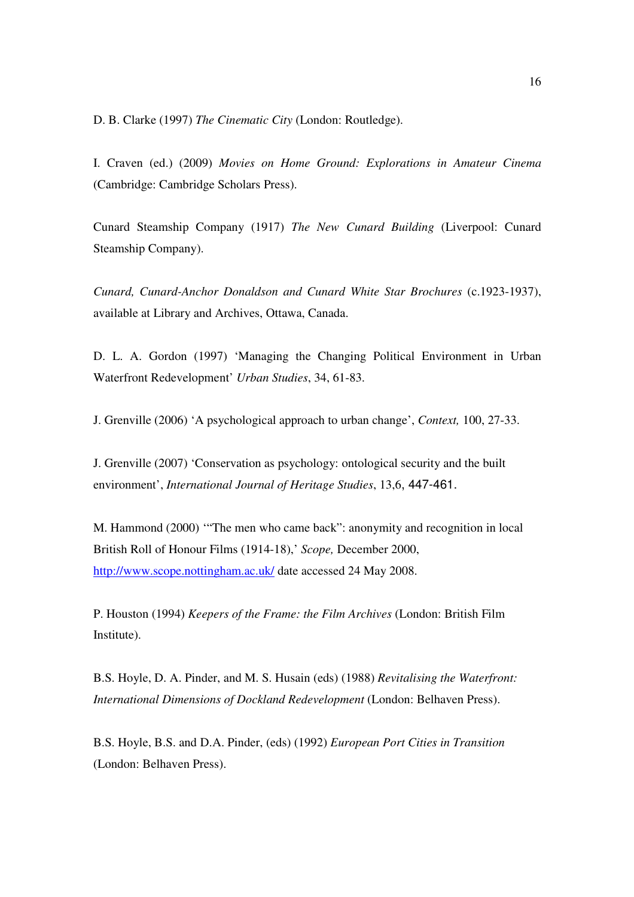D. B. Clarke (1997) *The Cinematic City* (London: Routledge).

I. Craven (ed.) (2009) *Movies on Home Ground: Explorations in Amateur Cinema* (Cambridge: Cambridge Scholars Press).

Cunard Steamship Company (1917) *The New Cunard Building* (Liverpool: Cunard Steamship Company).

*Cunard, Cunard-Anchor Donaldson and Cunard White Star Brochures* (c.1923-1937), available at Library and Archives, Ottawa, Canada.

D. L. A. Gordon (1997) 'Managing the Changing Political Environment in Urban Waterfront Redevelopment' *Urban Studies*, 34, 61-83.

J. Grenville (2006) 'A psychological approach to urban change', *Context,* 100, 27-33.

J. Grenville (2007) 'Conservation as psychology: ontological security and the built environment', *International Journal of Heritage Studies*, 13,6, 447-461.

M. Hammond (2000) '"The men who came back": anonymity and recognition in local British Roll of Honour Films (1914-18),' *Scope,* December 2000, http://www.scope.nottingham.ac.uk/ date accessed 24 May 2008.

P. Houston (1994) *Keepers of the Frame: the Film Archives* (London: British Film Institute).

B.S. Hoyle, D. A. Pinder, and M. S. Husain (eds) (1988) *Revitalising the Waterfront: International Dimensions of Dockland Redevelopment* (London: Belhaven Press).

B.S. Hoyle, B.S. and D.A. Pinder, (eds) (1992) *European Port Cities in Transition* (London: Belhaven Press).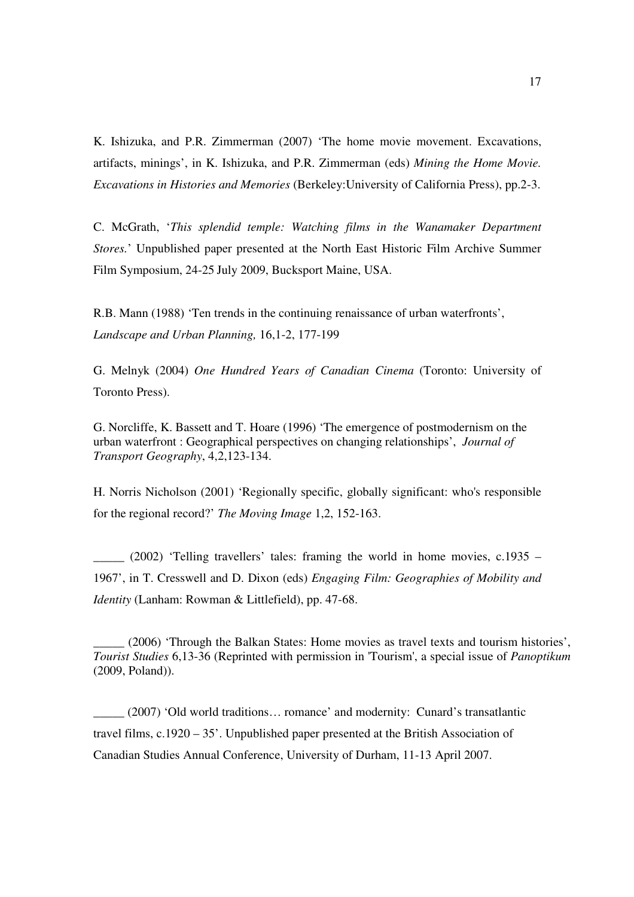K. Ishizuka, and P.R. Zimmerman (2007) 'The home movie movement. Excavations, artifacts, minings', in K. Ishizuka, and P.R. Zimmerman (eds) *Mining the Home Movie. Excavations in Histories and Memories* (Berkeley:University of California Press), pp.2-3.

C. McGrath, '*This splendid temple: Watching films in the Wanamaker Department Stores.*' Unpublished paper presented at the North East Historic Film Archive Summer Film Symposium, 24-25 July 2009, Bucksport Maine, USA.

R.B. Mann (1988) 'Ten trends in the continuing renaissance of urban waterfronts', *Landscape and Urban Planning,* 16,1-2, 177-199

G. Melnyk (2004) *One Hundred Years of Canadian Cinema* (Toronto: University of Toronto Press).

G. Norcliffe, K. Bassett and T. Hoare (1996) 'The emergence of postmodernism on the urban waterfront : Geographical perspectives on changing relationships', *Journal of Transport Geography*, 4,2,123-134.

H. Norris Nicholson (2001) 'Regionally specific, globally significant: who's responsible for the regional record?' *The Moving Image* 1,2, 152-163.

\_\_\_\_\_ (2002) 'Telling travellers' tales: framing the world in home movies, c.1935 – 1967', in T. Cresswell and D. Dixon (eds) *Engaging Film: Geographies of Mobility and Identity* (Lanham: Rowman & Littlefield), pp. 47-68.

 \_\_\_\_\_ (2006) 'Through the Balkan States: Home movies as travel texts and tourism histories', *Tourist Studies* 6,13-36 (Reprinted with permission in 'Tourism', a special issue of *Panoptikum* (2009, Poland)).

\_\_\_\_\_ (2007) 'Old world traditions… romance' and modernity: Cunard's transatlantic travel films, c.1920 – 35'. Unpublished paper presented at the British Association of Canadian Studies Annual Conference, University of Durham, 11-13 April 2007.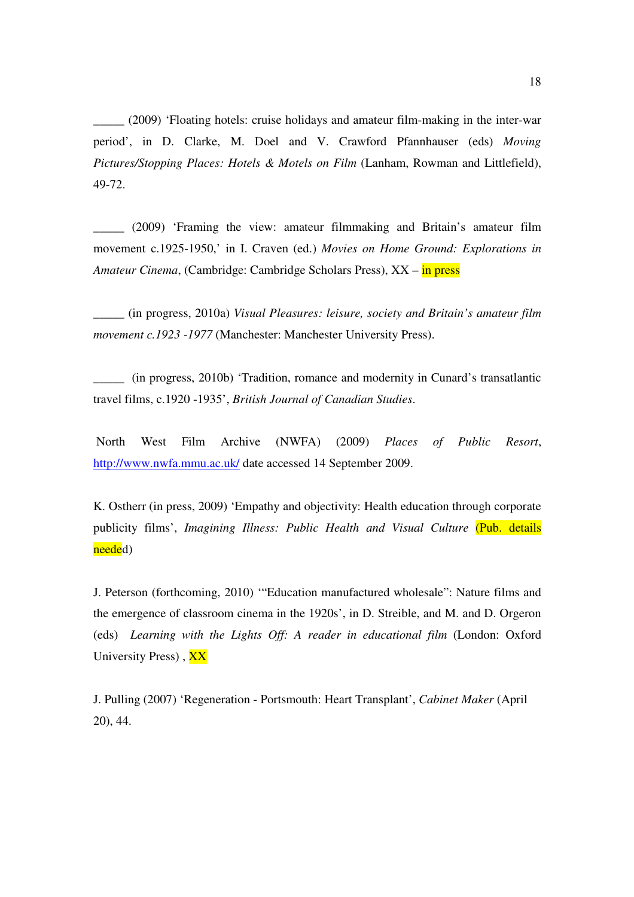**\_\_\_\_\_** (2009) 'Floating hotels: cruise holidays and amateur film-making in the inter-war period', in D. Clarke, M. Doel and V. Crawford Pfannhauser (eds) *Moving Pictures/Stopping Places: Hotels & Motels on Film* (Lanham, Rowman and Littlefield), 49-72.

\_\_\_\_\_ (2009) 'Framing the view: amateur filmmaking and Britain's amateur film movement c.1925-1950,' in I. Craven (ed.) *Movies on Home Ground: Explorations in Amateur Cinema*, (Cambridge: Cambridge Scholars Press), XX – in press

\_\_\_\_\_ (in progress, 2010a) *Visual Pleasures: leisure, society and Britain's amateur film movement c.1923 -1977* (Manchester: Manchester University Press).

\_\_\_\_\_ (in progress, 2010b) 'Tradition, romance and modernity in Cunard's transatlantic travel films, c.1920 -1935', *British Journal of Canadian Studies*.

 North West Film Archive (NWFA) (2009) *Places of Public Resort*, http://www.nwfa.mmu.ac.uk/ date accessed 14 September 2009.

K. Ostherr (in press, 2009) 'Empathy and objectivity: Health education through corporate publicity films', *Imagining Illness: Public Health and Visual Culture* (Pub. details needed)

J. Peterson (forthcoming, 2010) '"Education manufactured wholesale": Nature films and the emergence of classroom cinema in the 1920s', in D. Streible, and M. and D. Orgeron (eds) *Learning with the Lights Off: A reader in educational film* (London: Oxford University Press), XX

J. Pulling (2007) 'Regeneration - Portsmouth: Heart Transplant', *Cabinet Maker* (April 20), 44.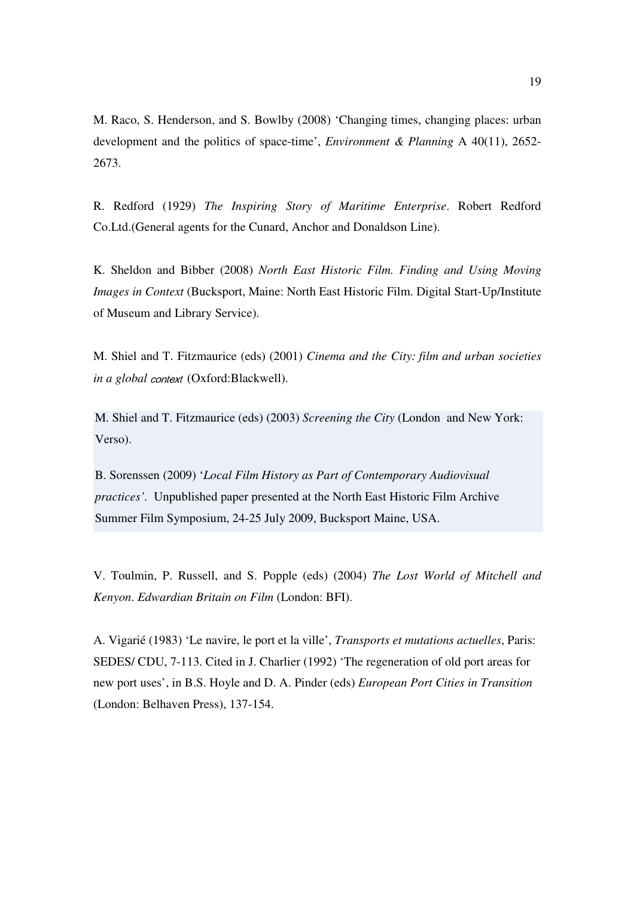M. Raco, S. Henderson, and S. Bowlby (2008) 'Changing times, changing places: urban development and the politics of space-time', *Environment & Planning* A 40(11), 2652- 2673.

R. Redford (1929) *The Inspiring Story of Maritime Enterprise*. Robert Redford Co.Ltd.(General agents for the Cunard, Anchor and Donaldson Line).

K. Sheldon and Bibber (2008) *North East Historic Film. Finding and Using Moving Images in Context* (Bucksport, Maine: North East Historic Film. Digital Start-Up/Institute of Museum and Library Service).

M. Shiel and T. Fitzmaurice (eds) (2001) *Cinema and the City: film and urban societies in a global* context (Oxford:Blackwell).

M. Shiel and T. Fitzmaurice (eds) (2003) *Screening the City* (London and New York: Verso).

B. Sorenssen (2009) '*Local Film History as Part of Contemporary Audiovisual practices'.* Unpublished paper presented at the North East Historic Film Archive Summer Film Symposium, 24-25 July 2009, Bucksport Maine, USA.

V. Toulmin, P. Russell, and S. Popple (eds) (2004) *The Lost World of Mitchell and Kenyon*. *Edwardian Britain on Film* (London: BFI).

A. Vigarié (1983) 'Le navire, le port et la ville', *Transports et mutations actuelles*, Paris: SEDES/ CDU, 7-113. Cited in J. Charlier (1992) 'The regeneration of old port areas for new port uses', in B.S. Hoyle and D. A. Pinder (eds) *European Port Cities in Transition* (London: Belhaven Press), 137-154.